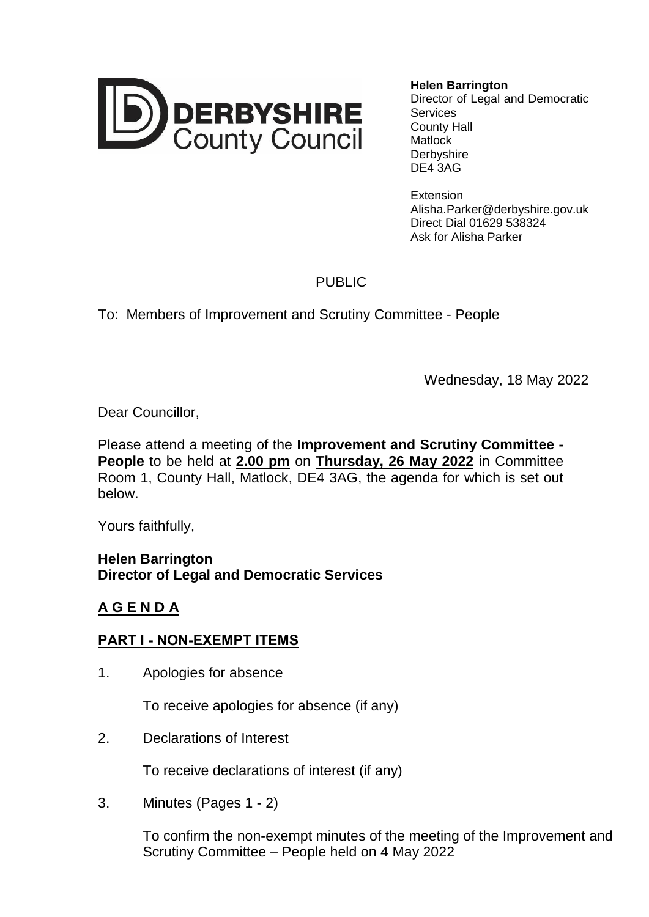

**Helen Barrington** Director of Legal and Democratic **Services** County Hall Matlock Derbyshire DE4 3AG

**Extension** Alisha.Parker@derbyshire.gov.uk Direct Dial 01629 538324 Ask for Alisha Parker

## PUBLIC

To: Members of Improvement and Scrutiny Committee - People

Wednesday, 18 May 2022

Dear Councillor,

Please attend a meeting of the **Improvement and Scrutiny Committee - People** to be held at **2.00 pm** on **Thursday, 26 May 2022** in Committee Room 1, County Hall, Matlock, DE4 3AG, the agenda for which is set out below.

Yours faithfully,

**Helen Barrington Director of Legal and Democratic Services**

## **A G E N D A**

## **PART I - NON-EXEMPT ITEMS**

1. Apologies for absence

To receive apologies for absence (if any)

2. Declarations of Interest

To receive declarations of interest (if any)

3. Minutes (Pages 1 - 2)

To confirm the non-exempt minutes of the meeting of the Improvement and Scrutiny Committee – People held on 4 May 2022